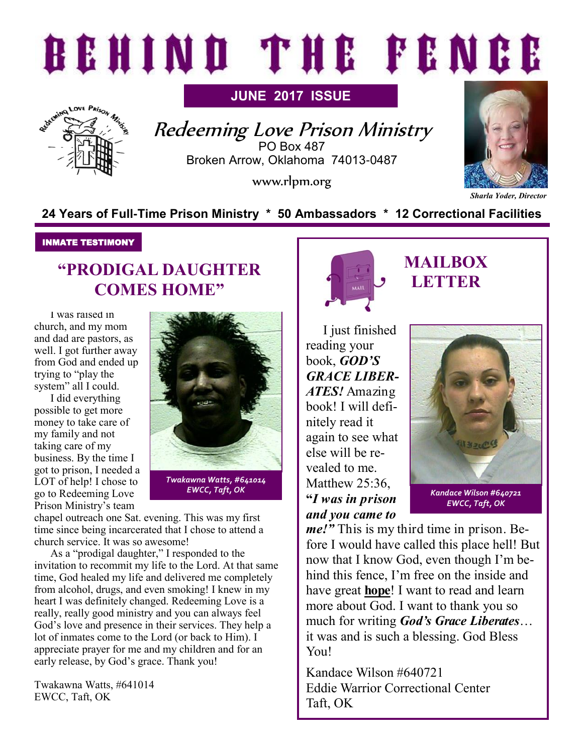# BEHIND THE FENCE

**JUNE 2017 ISSUE**



Redeeming Love Prison Ministry PO Box 487 Broken Arrow, Oklahoma 74013-0487

www.rlpm.org



*Sharla Yoder, Director*

#### **24 Years of Full-Time Prison Ministry \* 50 Ambassadors \* 12 Correctional Facilities**

#### INMATE TESTIMONY

## **"PRODIGAL DAUGHTER COMES HOME"**

I was raised in church, and my mom and dad are pastors, as well. I got further away from God and ended up trying to "play the system" all I could.

I did everything possible to get more money to take care of my family and not taking care of my business. By the time I got to prison, I needed a LOT of help! I chose to go to Redeeming Love Prison Ministry's team



*Twakawna Watts, #641014 EWCC, Taft, OK*

chapel outreach one Sat. evening. This was my first time since being incarcerated that I chose to attend a church service. It was so awesome!

As a "prodigal daughter," I responded to the invitation to recommit my life to the Lord. At that same time, God healed my life and delivered me completely from alcohol, drugs, and even smoking! I knew in my heart I was definitely changed. Redeeming Love is a really, really good ministry and you can always feel God's love and presence in their services. They help a lot of inmates come to the Lord (or back to Him). I appreciate prayer for me and my children and for an early release, by God's grace. Thank you!

Twakawna Watts, #641014 EWCC, Taft, OK



## **MAILBOX LETTER**

I just finished reading your book, *GOD'S GRACE LIBER-ATES!* Amazing book! I will definitely read it again to see what else will be revealed to me. Matthew 25:36, **"***I was in prison and you came to* 



*Kandace Wilson #640721 EWCC, Taft, OK*

*me!"* This is my third time in prison. Before I would have called this place hell! But now that I know God, even though I'm behind this fence, I'm free on the inside and have great **hope**! I want to read and learn more about God. I want to thank you so much for writing *God's Grace Liberates*… it was and is such a blessing. God Bless Y<sub>ou</sub>

Kandace Wilson #640721 Eddie Warrior Correctional Center Taft, OK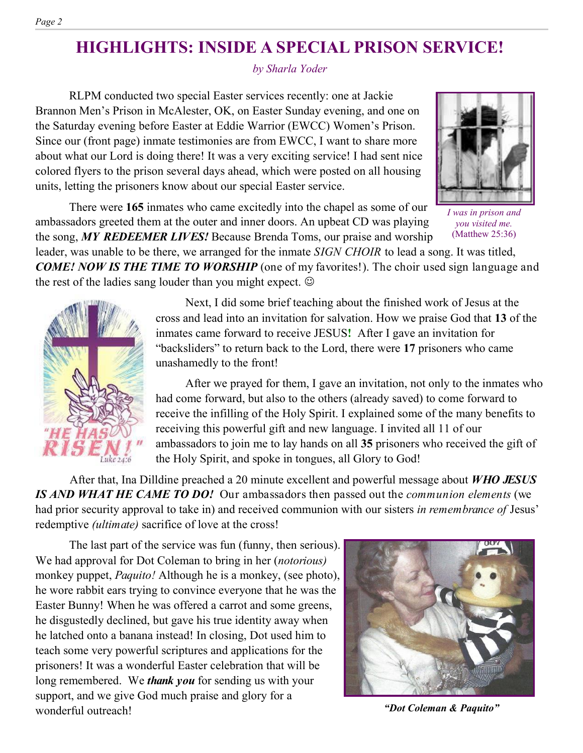## **HIGHLIGHTS: INSIDE A SPECIAL PRISON SERVICE!**

*by Sharla Yoder*

RLPM conducted two special Easter services recently: one at Jackie Brannon Men's Prison in McAlester, OK, on Easter Sunday evening, and one on the Saturday evening before Easter at Eddie Warrior (EWCC) Women's Prison. Since our (front page) inmate testimonies are from EWCC, I want to share more about what our Lord is doing there! It was a very exciting service! I had sent nice colored flyers to the prison several days ahead, which were posted on all housing units, letting the prisoners know about our special Easter service.

There were **165** inmates who came excitedly into the chapel as some of our ambassadors greeted them at the outer and inner doors. An upbeat CD was playing the song, *MY REDEEMER LIVES!* Because Brenda Toms, our praise and worship

leader, was unable to be there, we arranged for the inmate *SIGN CHOIR* to lead a song. It was titled, *COME! NOW IS THE TIME TO WORSHIP* (one of my favorites!). The choir used sign language and the rest of the ladies sang louder than you might expect.

> Next, I did some brief teaching about the finished work of Jesus at the cross and lead into an invitation for salvation. How we praise God that **13** of the inmates came forward to receive JESUS**!** After I gave an invitation for "backsliders" to return back to the Lord, there were **17** prisoners who came unashamedly to the front!

After we prayed for them, I gave an invitation, not only to the inmates who had come forward, but also to the others (already saved) to come forward to receive the infilling of the Holy Spirit. I explained some of the many benefits to receiving this powerful gift and new language. I invited all 11 of our ambassadors to join me to lay hands on all **35** prisoners who received the gift of the Holy Spirit, and spoke in tongues, all Glory to God!

After that, Ina Dilldine preached a 20 minute excellent and powerful message about *WHO JESUS IS AND WHAT HE CAME TO DO!* Our ambassadors then passed out the *communion elements* (we had prior security approval to take in) and received communion with our sisters *in remembrance of* Jesus' redemptive *(ultimate)* sacrifice of love at the cross!

The last part of the service was fun (funny, then serious). We had approval for Dot Coleman to bring in her (*notorious)* monkey puppet, *Paquito!* Although he is a monkey, (see photo), he wore rabbit ears trying to convince everyone that he was the Easter Bunny! When he was offered a carrot and some greens, he disgustedly declined, but gave his true identity away when he latched onto a banana instead! In closing, Dot used him to teach some very powerful scriptures and applications for the prisoners! It was a wonderful Easter celebration that will be long remembered. We *thank you* for sending us with your support, and we give God much praise and glory for a wonderful outreach!

*"Dot Coleman & Paquito"*







(Matthew 25:36)

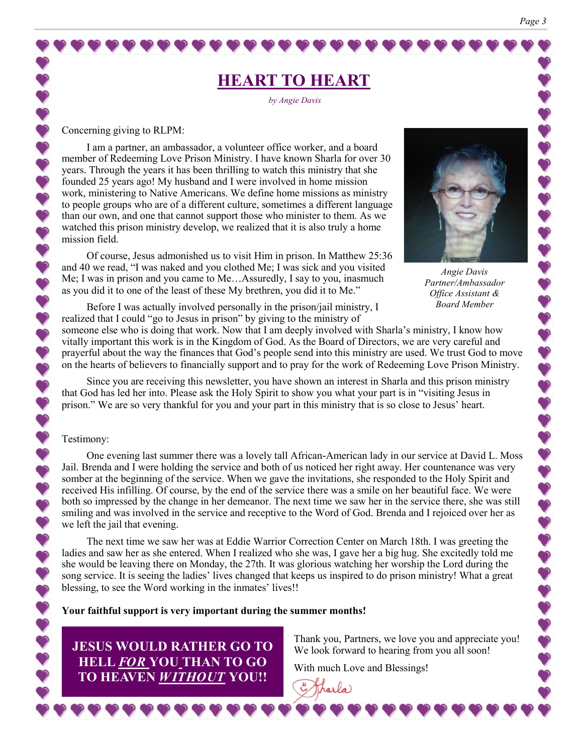## **HEART TO HEART**

*by Angie Davis*

Concerning giving to RLPM:

 $\ddot{\bullet}$ 

 $\ddot{\bullet}$ V  $\bullet$ 

 $\ddot{\bullet}$  $\bullet$  $\bullet$  $\bullet$ 

 $\bullet$ 

 $\bullet$ 

 $\bullet$ 

 $\ddot{\bullet}$ Ú V  $\ddot{\bullet}$ 

 $\bullet$  $\bullet$  $\bullet$ 

888

I am a partner, an ambassador, a volunteer office worker, and a board member of Redeeming Love Prison Ministry. I have known Sharla for over 30 years. Through the years it has been thrilling to watch this ministry that she founded 25 years ago! My husband and I were involved in home mission work, ministering to Native Americans. We define home missions as ministry to people groups who are of a different culture, sometimes a different language than our own, and one that cannot support those who minister to them. As we watched this prison ministry develop, we realized that it is also truly a home mission field.

Of course, Jesus admonished us to visit Him in prison. In Matthew 25:36 and 40 we read, "I was naked and you clothed Me; I was sick and you visited Me; I was in prison and you came to Me…Assuredly, I say to you, inasmuch as you did it to one of the least of these My brethren, you did it to Me."



*Angie Davis Partner/Ambassador Office Assistant & Board Member*

Before I was actually involved personally in the prison/jail ministry, I realized that I could "go to Jesus in prison" by giving to the ministry of

someone else who is doing that work. Now that I am deeply involved with Sharla's ministry, I know how vitally important this work is in the Kingdom of God. As the Board of Directors, we are very careful and prayerful about the way the finances that God's people send into this ministry are used. We trust God to move on the hearts of believers to financially support and to pray for the work of Redeeming Love Prison Ministry.

Since you are receiving this newsletter, you have shown an interest in Sharla and this prison ministry that God has led her into. Please ask the Holy Spirit to show you what your part is in "visiting Jesus in prison." We are so very thankful for you and your part in this ministry that is so close to Jesus' heart.

#### Testimony:

One evening last summer there was a lovely tall African-American lady in our service at David L. Moss Jail. Brenda and I were holding the service and both of us noticed her right away. Her countenance was very somber at the beginning of the service. When we gave the invitations, she responded to the Holy Spirit and received His infilling. Of course, by the end of the service there was a smile on her beautiful face. We were both so impressed by the change in her demeanor. The next time we saw her in the service there, she was still smiling and was involved in the service and receptive to the Word of God. Brenda and I rejoiced over her as we left the jail that evening.

The next time we saw her was at Eddie Warrior Correction Center on March 18th. I was greeting the ladies and saw her as she entered. When I realized who she was, I gave her a big hug. She excitedly told me she would be leaving there on Monday, the 27th. It was glorious watching her worship the Lord during the song service. It is seeing the ladies' lives changed that keeps us inspired to do prison ministry! What a great blessing, to see the Word working in the inmates' lives!!

**Your faithful support is very important during the summer months!**

**JESUS WOULD RATHER GO TO HELL** *FOR* **YOU THAN TO GO TO HEAVEN** *WITHOUT* **YOU!!**

Thank you, Partners, we love you and appreciate you! We look forward to hearing from you all soon!

With much Love and Blessings!

harla)